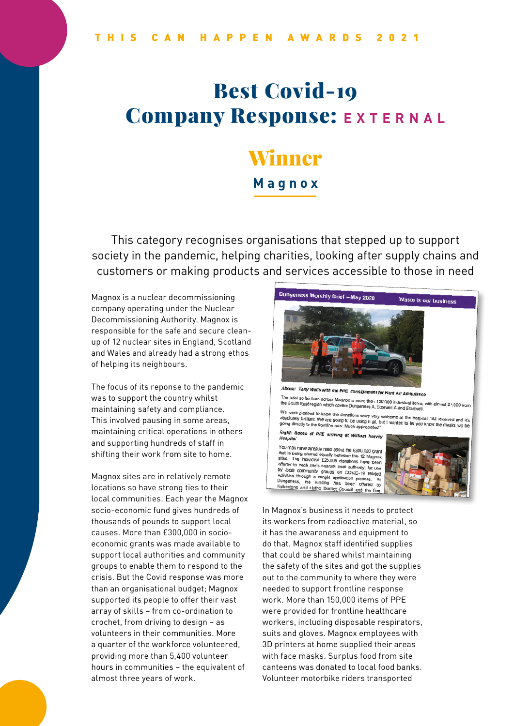# Best Covid-19 **Company Response: EXTERNAL**

# Winner

**Magnox**

This category recognises organisations that stepped up to support society in the pandemic, helping charities, looking after supply chains and customers or making products and services accessible to those in need

Magnox is a nuclear decommissioning company operating under the Nuclear Decommissioning Authority. Magnox is responsible for the safe and secure cleanup of 12 nuclear sites in England, Scotland and Wales and already had a strong ethos of helping its neighbours.

The focus of its reponse to the pandemic was to support the country whilst maintaining safety and compliance. This involved pausing in some areas, maintaining critical operations in others and supporting hundreds of staff in shifting their work from site to home.

Magnox sites are in relatively remote locations so have strong ties to their local communities. Each year the Magnox socio-economic fund gives hundreds of thousands of pounds to support local causes. More than £300,000 in socioeconomic grants was made available to support local authorities and community groups to enable them to respond to the crisis. But the Covid response was more than an organisational budget; Magnox supported its people to offer their vast array of skills – from co-ordination to crochet, from driving to design – as volunteers in their communities. More a quarter of the workforce volunteered, providing more than 5,400 volunteer hours in communities – the equivalent of almost three years of work.



In Magnox's business it needs to protect its workers from radioactive material, so it has the awareness and equipment to do that. Magnox staff identified supplies that could be shared whilst maintaining the safety of the sites and got the supplies out to the community to where they were needed to support frontline response work. More than 150,000 items of PPE were provided for frontline healthcare workers, including disposable respirators, suits and gloves. Magnox employees with 3D printers at home supplied their areas with face masks. Surplus food from site canteens was donated to local food banks. Volunteer motorbike riders transported